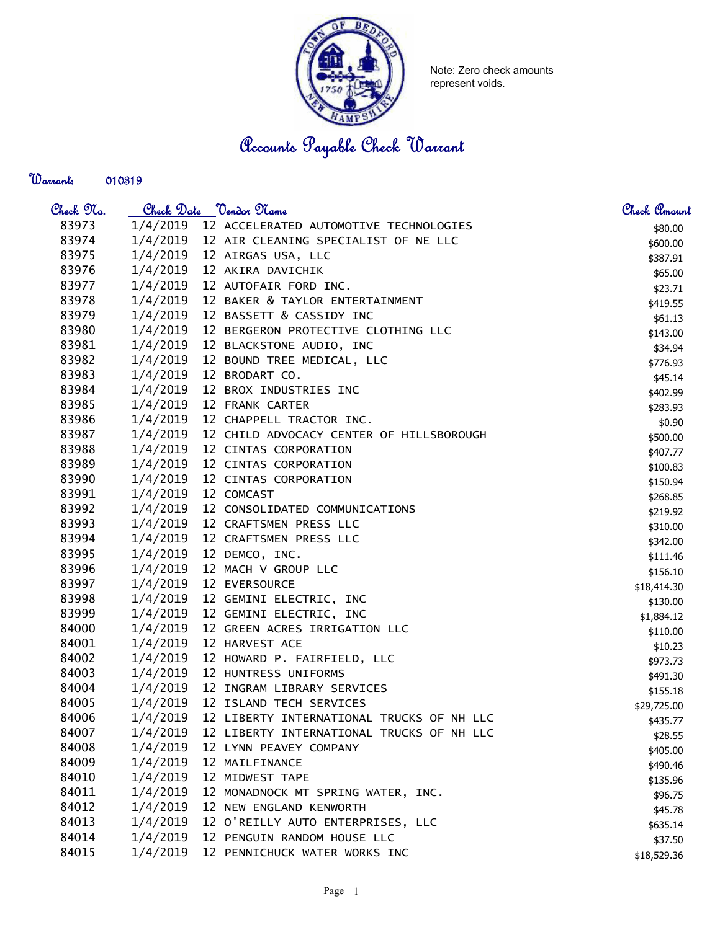

Note: Zero check amounts represent voids.

Accounts Payable Check Warrant

| Warrant: | 010819 |
|----------|--------|
|          |        |

| <u>Check No.</u> | <u>Check Date</u> | <u> Vendor Name</u>                       | Check Amount |
|------------------|-------------------|-------------------------------------------|--------------|
| 83973            | 1/4/2019          | 12 ACCELERATED AUTOMOTIVE TECHNOLOGIES    | \$80.00      |
| 83974            | 1/4/2019          | 12 AIR CLEANING SPECIALIST OF NE LLC      | \$600.00     |
| 83975            | 1/4/2019          | 12 AIRGAS USA, LLC                        | \$387.91     |
| 83976            | 1/4/2019          | 12 AKIRA DAVICHIK                         | \$65.00      |
| 83977            | 1/4/2019          | 12 AUTOFAIR FORD INC.                     | \$23.71      |
| 83978            | 1/4/2019          | 12 BAKER & TAYLOR ENTERTAINMENT           | \$419.55     |
| 83979            | 1/4/2019          | 12 BASSETT & CASSIDY INC                  | \$61.13      |
| 83980            | 1/4/2019          | 12 BERGERON PROTECTIVE CLOTHING LLC       | \$143.00     |
| 83981            | 1/4/2019          | 12 BLACKSTONE AUDIO, INC                  | \$34.94      |
| 83982            | 1/4/2019          | 12 BOUND TREE MEDICAL, LLC                | \$776.93     |
| 83983            | 1/4/2019          | 12 BRODART CO.                            | \$45.14      |
| 83984            | 1/4/2019          | 12 BROX INDUSTRIES INC                    | \$402.99     |
| 83985            | 1/4/2019          | 12 FRANK CARTER                           | \$283.93     |
| 83986            | 1/4/2019          | 12 CHAPPELL TRACTOR INC.                  | \$0.90       |
| 83987            | 1/4/2019          | 12 CHILD ADVOCACY CENTER OF HILLSBOROUGH  | \$500.00     |
| 83988            | 1/4/2019          | 12 CINTAS CORPORATION                     | \$407.77     |
| 83989            | 1/4/2019          | 12 CINTAS CORPORATION                     | \$100.83     |
| 83990            | 1/4/2019          | 12 CINTAS CORPORATION                     | \$150.94     |
| 83991            | 1/4/2019          | 12 COMCAST                                | \$268.85     |
| 83992            | 1/4/2019          | 12 CONSOLIDATED COMMUNICATIONS            | \$219.92     |
| 83993            | 1/4/2019          | 12 CRAFTSMEN PRESS LLC                    | \$310.00     |
| 83994            | 1/4/2019          | 12 CRAFTSMEN PRESS LLC                    | \$342.00     |
| 83995            | 1/4/2019          | 12 DEMCO, INC.                            | \$111.46     |
| 83996            | 1/4/2019          | 12 MACH V GROUP LLC                       | \$156.10     |
| 83997            | 1/4/2019          | 12 EVERSOURCE                             | \$18,414.30  |
| 83998            | 1/4/2019          | 12 GEMINI ELECTRIC, INC                   | \$130.00     |
| 83999            | 1/4/2019          | 12 GEMINI ELECTRIC, INC                   | \$1,884.12   |
| 84000            | 1/4/2019          | 12 GREEN ACRES IRRIGATION LLC             | \$110.00     |
| 84001            | 1/4/2019          | 12 HARVEST ACE                            | \$10.23      |
| 84002            | 1/4/2019          | 12 HOWARD P. FAIRFIELD, LLC               | \$973.73     |
| 84003            | 1/4/2019          | 12 HUNTRESS UNIFORMS                      | \$491.30     |
| 84004            | 1/4/2019          | 12 INGRAM LIBRARY SERVICES                | \$155.18     |
| 84005            | 1/4/2019          | 12 ISLAND TECH SERVICES                   | \$29,725.00  |
| 84006            | 1/4/2019          | 12 LIBERTY INTERNATIONAL TRUCKS OF NH LLC | \$435.77     |
| 84007            | 1/4/2019          | 12 LIBERTY INTERNATIONAL TRUCKS OF NH LLC | \$28.55      |
| 84008            | 1/4/2019          | 12 LYNN PEAVEY COMPANY                    | \$405.00     |
| 84009            | 1/4/2019          | 12 MAILFINANCE                            | \$490.46     |
| 84010            | 1/4/2019          | 12 MIDWEST TAPE                           | \$135.96     |
| 84011            | 1/4/2019          | 12 MONADNOCK MT SPRING WATER, INC.        | \$96.75      |
| 84012            | 1/4/2019          | 12 NEW ENGLAND KENWORTH                   | \$45.78      |
| 84013            | 1/4/2019          | 12 O'REILLY AUTO ENTERPRISES, LLC         | \$635.14     |
| 84014            | 1/4/2019          | 12 PENGUIN RANDOM HOUSE LLC               | \$37.50      |
| 84015            | 1/4/2019          | 12 PENNICHUCK WATER WORKS INC             | \$18,529.36  |
|                  |                   |                                           |              |